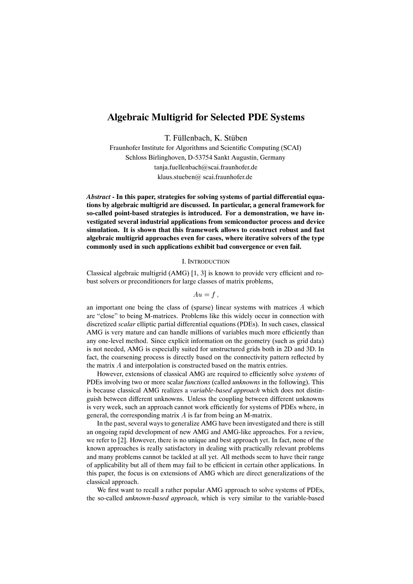# **Algebraic Multigrid for Selected PDE Systems**

T. Füllenbach, K. Stüben

Fraunhofer Institute for Algorithms and Scientific Computing (SCAI) Schloss Birlinghoven, D-53754 Sankt Augustin, Germany tanja.fuellenbach@scai.fraunhofer.de klaus.stueben@ scai.fraunhofer.de

*Abstract* **- In this paper, strategies for solving systems of partial differential equations by algebraic multigrid are discussed. In particular, a general framework for so-called point-based strategies is introduced. For a demonstration, we have investigated several industrial applications from semiconductor process and device simulation. It is shown that this framework allows to construct robust and fast algebraic multigrid approaches even for cases, where iterative solvers of the type commonly used in such applications exhibit bad convergence or even fail.**

### I. INTRODUCTION

Classical algebraic multigrid (AMG) [1, 3] is known to provide very efficient and robust solvers or preconditioners for large classes of matrix problems,

> $Au = f,$ **The contract of the contract of the contract of the contract of the contract of the contract of the contract of the contract of the contract of the contract of the contract of the contract of the contract of the contract**

an important one being the class of (sparse) linear systems with matrices  $A$  which are "close" to being M-matrices. Problems like this widely occur in connection with discretized *scalar* elliptic partial differential equations (PDEs). In such cases, classical AMG is very mature and can handle millions of variables much more efficiently than any one-level method. Since explicit information on the geometry (such as grid data) is not needed, AMG is especially suited for unstructured grids both in 2D and 3D. In fact, the coarsening process is directly based on the connectivity pattern reflected by the matrix  $A$  and interpolation is constructed based on the matrix entries.

However, extensions of classical AMG are required to efficiently solve *systems* of PDEs involving two or more scalar *functions* (called *unknowns* in the following). This is because classical AMG realizes a *variable-based approach* which does not distinguish between different unknowns. Unless the coupling between different unknowns is very week, such an approach cannot work efficiently for systems of PDEs where, in general, the corresponding matrix  $A$  is far from being an M-matrix.

In the past, several ways to generalize AMG have been investigated and there is still an ongoing rapid development of new AMG and AMG-like approaches. For a review, we refer to [2]. However, there is no unique and best approach yet. In fact, none of the known approaches is really satisfactory in dealing with practically relevant problems and many problems cannot be tackled at all yet. All methods seem to have their range of applicability but all of them may fail to be efficient in certain other applications. In this paper, the focus is on extensions of AMG which are direct generalizations of the classical approach.

We first want to recall a rather popular AMG approach to solve systems of PDEs, the so-called *unknown-based approach*, which is very similar to the variable-based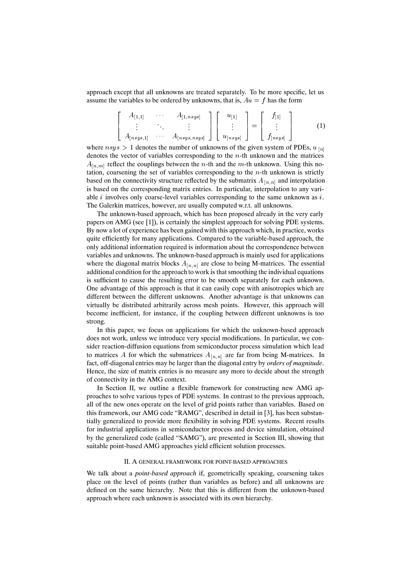approach except that all unknowns are treated separately. To be more specific, let us assume the variables to be ordered by unknowns, that is,  $Au = f$  has the form

$$
\begin{bmatrix}\nA_{[1,1]} & A_{[1,nsys]} \\
\vdots & \ddots & \vdots \\
A_{[nsys,1]} & \cdots & A_{[nsys,nsys]}\n\end{bmatrix}\n\begin{bmatrix}\nu_{[1]} \\
\vdots \\
u_{[nsys]}\n\end{bmatrix} =\n\begin{bmatrix}\nf_{[1]} \\
\vdots \\
f_{[nsys]}\n\end{bmatrix}
$$
\n(1)

where  $nsys > 1$  denotes the number of unknowns of the given system of PDEs,  $u_{[n]}$ denotes the vector of variables corresponding to the  $n$ -th unknown and the matrices  $A_{[n,m]}$  reflect the couplings between the *n*-th and the *m*-th unknown. Using this notation, coarsening the set of variables corresponding to the  $n$ -th unknown is strictly based on the connectivity structure reflected by the submatrix  $A_{n,n}$  and interpolation is based on the corresponding matrix entries. In particular, interpolation to any variable  $i$  involves only coarse-level variables corresponding to the same unknown as  $i$ . The Galerkin matrices, however, are usually computed w.r.t. all unknowns.

The unknown-based approach, which has been proposed already in the very early papers on AMG (see [1]), is certainly the simplest approach for solving PDE systems. By now a lot of experience has been gained with this approach which, in practice, works quite efficiently for many applications. Compared to the variable-based approach, the only additional information required is information about the correspondence between variables and unknowns. The unknown-based approach is mainly used for applications where the diagonal matrix blocks  $A_{[n,n]}$  are close to being M-matrices. The essential additional condition for the approach to work is that smoothing the individual equations is sufficient to cause the resulting error to be smooth separately for each unknown. One advantage of this approach is that it can easily cope with anisotropies which are different between the different unknowns. Another advantage is that unknowns can virtually be distributed arbitrarily across mesh points. However, this approach will become inefficient, for instance, if the coupling between different unknowns is too strong.

In this paper, we focus on applications for which the unknown-based approach does not work, unless we introduce very special modifications. In particular, we consider reaction-diffusion equations from semiconductor process simulation which lead to matrices A for which the submatrices  $A_{[n,n]}$  are far from being M-matrices. In fact, off-diagonal entries may be larger than the diagonal entry by *orders of magnitude*. Hence, the size of matrix entries is no measure any more to decide about the strength of connectivity in the AMG context.

In Section II, we outline a flexible framework for constructing new AMG approaches to solve various types of PDE systems. In contrast to the previous approach, all of the new ones operate on the level of grid points rather than variables. Based on this framework, our AMG code "RAMG", described in detail in [3], has been substantially generalized to provide more flexibility in solving PDE systems. Recent results for industrial applications in semiconductor process and device simulation, obtained by the generalized code (called "SAMG"), are presented in Section III, showing that suitable point-based AMG approaches yield efficient solution processes.

#### II. A GENERAL FRAMEWORK FOR POINT-BASED APPROACHES

We talk about a *point-based approach* if, geometrically speaking, coarsening takes place on the level of points (rather than variables as before) and all unknowns are defined on the same hierarchy. Note that this is different from the unknown-based approach where each unknown is associated with its own hierarchy.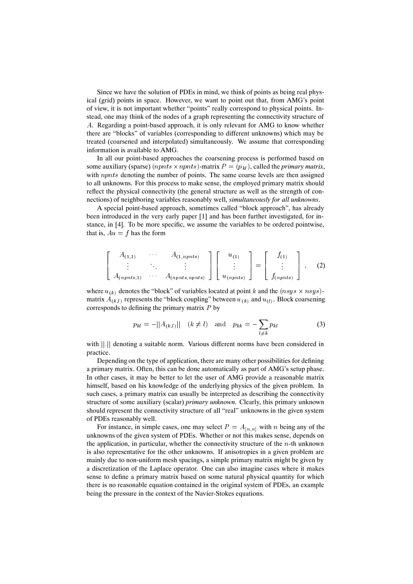Since we have the solution of PDEs in mind, we think of points as being real physical (grid) points in space. However, we want to point out that, from AMG's point of view, it is not important whether "points" really correspond to physical points. Instead, one may think of the nodes of a graph representing the connectivity structure of . Regarding a point-based approach, it is only relevant for AMG to know whether there are "blocks" of variables (corresponding to different unknowns) which may be treated (coarsened and interpolated) simultaneously. We assume that corresponding information is available to AMG.

In all our point-based approaches the coarsening process is performed based on some auxiliary (sparse)  $(npnts \times npnts)$ -matrix  $P = (p_{kl})$ , called the *primary matrix*, with  $nprts$  denoting the number of points. The same coarse levels are then assigned to all unknowns. For this process to make sense, the employed primary matrix should reflect the physical connectivity (the general structure as well as the strength of connections) of neighboring variables reasonably well, *simultaneously for all unknowns*.

A special point-based approach, sometimes called "block approach", has already been introduced in the very early paper [1] and has been further investigated, for instance, in [4]. To be more specific, we assume the variables to be ordered pointwise, that is,  $Au = f$  has the form

$$
\begin{bmatrix}\nA_{(1,1)} & A_{(1,nprts)} \\
\vdots & \ddots & \vdots \\
A_{(npnts,1)} & \cdots & A_{(npnts, nprts)}\n\end{bmatrix}\n\begin{bmatrix}\nu_{(1)} \\
\vdots \\
u_{(npnts)}\n\end{bmatrix} =\n\begin{bmatrix}\nf_{(1)} \\
\vdots \\
f_{(npnts)}\n\end{bmatrix},\n\tag{2}
$$

where  $u_{k}$  denotes the "block" of variables located at point k and the  $(nsys \times nsys)$ matrix  $A_{(k,l)}$  represents the "block coupling" between  $u_{(k)}$  and  $u_{(l)}$ . Block coarsening corresponds to defining the primary matrix  $P$  by

$$
p_{kl} = -||A_{(k,l)}|| \quad (k \neq l) \quad \text{and} \quad p_{kk} = -\sum_{l \neq k} p_{kl} \tag{3}
$$

with  $\| . \|$  denoting a suitable norm. Various different norms have been considered in practice.

Depending on the type of application, there are many other possibilities for defining a primary matrix. Often, this can be done automatically as part of AMG's setup phase. In other cases, it may be better to let the user of AMG provide a reasonable matrix himself, based on his knowledge of the underlying physics of the given problem. In such cases, a primary matrix can usually be interpreted as describing the connectivity structure of some auxiliary (scalar) *primary unknown*. Clearly, this primary unknown should represent the connectivity structure of all "real" unknowns in the given system of PDEs reasonably well.

For instance, in simple cases, one may select  $P = A_{[n,n]}$  with n being any of the unknowns of the given system of PDEs. Whether or not this makes sense, depends on the application, in particular, whether the connectivity structure of the  $n$ -th unknown is also representative for the other unknowns. If anisotropies in a given problem are mainly due to non-uniform mesh spacings, a simple primary matrix might be given by a discretization of the Laplace operator. One can also imagine cases where it makes sense to define a primary matrix based on some natural physical quantity for which there is no reasonable equation contained in the original system of PDEs, an example being the pressure in the context of the Navier-Stokes equations.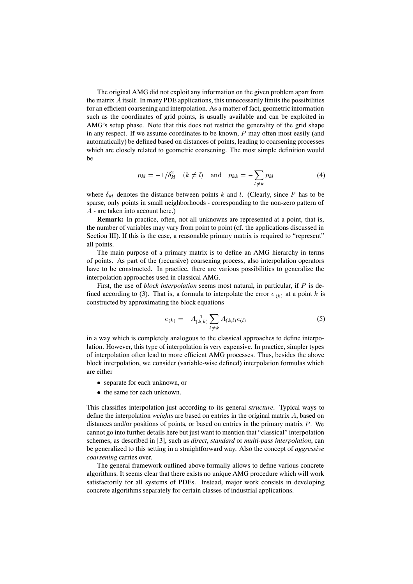The original AMG did not exploit any information on the given problem apart from the matrix  $\vec{A}$  itself. In many PDE applications, this unnecessarily limits the possibilities for an efficient coarsening and interpolation. As a matter of fact, geometric information such as the coordinates of grid points, is usually available and can be exploited in AMG's setup phase. Note that this does not restrict the generality of the grid shape in any respect. If we assume coordinates to be known,  $P$  may often most easily (and automatically) be defined based on distances of points, leading to coarsening processes which are closely related to geometric coarsening. The most simple definition would be

$$
p_{kl} = -1/\delta_{kl}^2 \quad (k \neq l) \quad \text{and} \quad p_{kk} = -\sum_{l \neq k} p_{kl} \tag{4}
$$

where  $\delta_{kl}$  denotes the distance between points k and l. (Clearly, since P has to be sparse, only points in small neighborhoods - corresponding to the non-zero pattern of  $A$  - are taken into account here.)

**Remark:** In practice, often, not all unknowns are represented at a point, that is, the number of variables may vary from point to point (cf. the applications discussed in Section III). If this is the case, a reasonable primary matrix is required to "represent" all points.

The main purpose of a primary matrix is to define an AMG hierarchy in terms of points. As part of the (recursive) coarsening process, also interpolation operators have to be constructed. In practice, there are various possibilities to generalize the interpolation approaches used in classical AMG.

First, the use of *block interpolation* seems most natural, in particular, if P is defined according to (3). That is, a formula to interpolate the error  $e_{(k)}$  at a point k is constructed by approximating the block equations

$$
e_{(k)} = -A_{(k,k)}^{-1} \sum_{l \neq k} A_{(k,l)} e_{(l)}
$$
\n(5)

in a way which is completely analogous to the classical approaches to define interpolation. However, this type of interpolation is very expensive. In practice, simpler types of interpolation often lead to more efficient AMG processes. Thus, besides the above block interpolation, we consider (variable-wise defined) interpolation formulas which are either

- separate for each unknown, or
- the same for each unknown.

This classifies interpolation just according to its general *structure*. Typical ways to define the interpolation *weights* are based on entries in the original matrix A, based on distances and/or positions of points, or based on entries in the primary matrix  $P$ . We cannot go into further details here but just want to mention that "classical" interpolation schemes, as described in [3], such as *direct*, *standard* or *multi-pass interpolation*, can be generalized to this setting in a straightforward way. Also the concept of *aggressive coarsening* carries over.

The general framework outlined above formally allows to define various concrete algorithms. It seems clear that there exists no unique AMG procedure which will work satisfactorily for all systems of PDEs. Instead, major work consists in developing concrete algorithms separately for certain classes of industrial applications.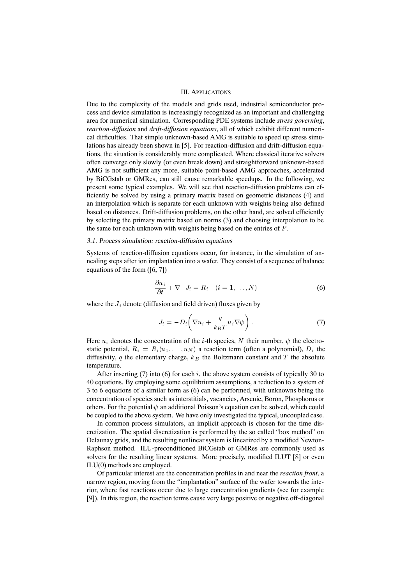#### III. APPLICATIONS

Due to the complexity of the models and grids used, industrial semiconductor process and device simulation is increasingly recognized as an important and challenging area for numerical simulation. Corresponding PDE systems include *stress governing*, *reaction-diffusion* and *drift-diffusion equations*, all of which exhibit different numerical difficulties. That simple unknown-based AMG is suitable to speed up stress simulations has already been shown in [5]. For reaction-diffusion and drift-diffusion equations, the situation is considerably more complicated. Where classical iterative solvers often converge only slowly (or even break down) and straightforward unknown-based AMG is not sufficient any more, suitable point-based AMG approaches, accelerated by BiCGstab or GMRes, can still cause remarkable speedups. In the following, we present some typical examples. We will see that reaction-diffusion problems can efficiently be solved by using a primary matrix based on geometric distances (4) and an interpolation which is separate for each unknown with weights being also defined based on distances. Drift-diffusion problems, on the other hand, are solved efficiently by selecting the primary matrix based on norms (3) and choosing interpolation to be the same for each unknown with weights being based on the entries of  $P$ .

#### 3.1. Process simulation: reaction-diffusion equations

Systems of reaction-diffusion equations occur, for instance, in the simulation of annealing steps after ion implantation into a wafer. They consist of a sequence of balance equations of the form ([6, 7])

$$
\frac{\partial u_i}{\partial t} + \nabla \cdot J_i = R_i \quad (i = 1, \dots, N)
$$
 (6)

where the  $J_i$  denote (diffusion and field driven) fluxes given by

$$
J_i = -D_i \left( \nabla u_i + \frac{q}{k_B T} u_i \nabla \psi \right). \tag{7}
$$

Here  $u_i$  denotes the concentration of the *i*-th species, N their number,  $\psi$  the electrostatic potential,  $R_i = R_i(u_1, \ldots, u_N)$  a reaction term (often a polynomial),  $D_i$  the diffusivity, q the elementary charge,  $k_B$  the Boltzmann constant and T the absolute temperature.

After inserting (7) into (6) for each  $i$ , the above system consists of typically 30 to 40 equations. By employing some equilibrium assumptions, a reduction to a system of 3 to 6 equations of a similar form as (6) can be performed, with unknowns being the concentration of species such as interstitials, vacancies, Arsenic, Boron, Phosphorus or others. For the potential  $\psi$  an additional Poisson's equation can be solved, which could be coupled to the above system. We have only investigated the typical, uncoupled case.

In common process simulators, an implicit approach is chosen for the time discretization. The spatial discretization is performed by the so called "box method" on Delaunay grids, and the resulting nonlinear system is linearized by a modified Newton-Raphson method. ILU-preconditioned BiCGstab or GMRes are commonly used as solvers for the resulting linear systems. More precisely, modified ILUT [8] or even ILU(0) methods are employed.

Of particular interest are the concentration profiles in and near the *reaction front*, a narrow region, moving from the "implantation" surface of the wafer towards the interior, where fast reactions occur due to large concentration gradients (see for example [9]). In this region, the reaction terms cause very large positive or negative off-diagonal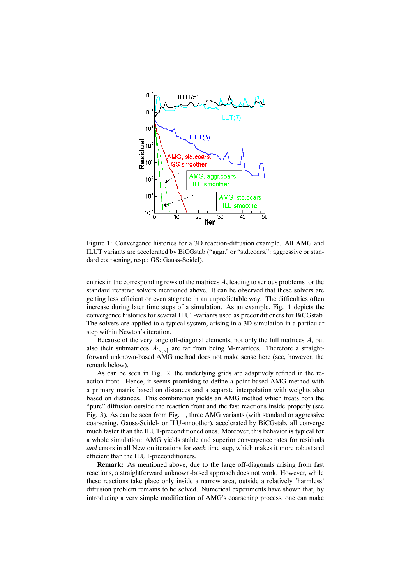

Figure 1: Convergence histories for a 3D reaction-diffusion example. All AMG and ILUT variants are accelerated by BiCGstab ("aggr." or "std.coars.": aggressive or standard coarsening, resp.; GS: Gauss-Seidel).

entries in the corresponding rows of the matrices  $A$ , leading to serious problems for the standard iterative solvers mentioned above. It can be observed that these solvers are getting less efficient or even stagnate in an unpredictable way. The difficulties often increase during later time steps of a simulation. As an example, Fig. 1 depicts the convergence histories for several ILUT-variants used as preconditioners for BiCGstab. The solvers are applied to a typical system, arising in a 3D-simulation in a particular step within Newton's iteration.

Because of the very large off-diagonal elements, not only the full matrices  $A$ , but also their submatrices  $A_{[n,n]}$  are far from being M-matrices. Therefore a straightforward unknown-based AMG method does not make sense here (see, however, the remark below).

As can be seen in Fig. 2, the underlying grids are adaptively refined in the reaction front. Hence, it seems promising to define a point-based AMG method with a primary matrix based on distances and a separate interpolation with weights also based on distances. This combination yields an AMG method which treats both the "pure" diffusion outside the reaction front and the fast reactions inside properly (see Fig. 3). As can be seen from Fig. 1, three AMG variants (with standard or aggressive coarsening, Gauss-Seidel- or ILU-smoother), accelerated by BiCGstab, all converge much faster than the ILUT-preconditioned ones. Moreover, this behavior is typical for a whole simulation: AMG yields stable and superior convergence rates for residuals *and* errors in all Newton iterations for *each* time step, which makes it more robust and efficient than the ILUT-preconditioners.

**Remark:** As mentioned above, due to the large off-diagonals arising from fast reactions, a straightforward unknown-based approach does not work. However, while these reactions take place only inside a narrow area, outside a relatively 'harmless' diffusion problem remains to be solved. Numerical experiments have shown that, by introducing a very simple modification of AMG's coarsening process, one can make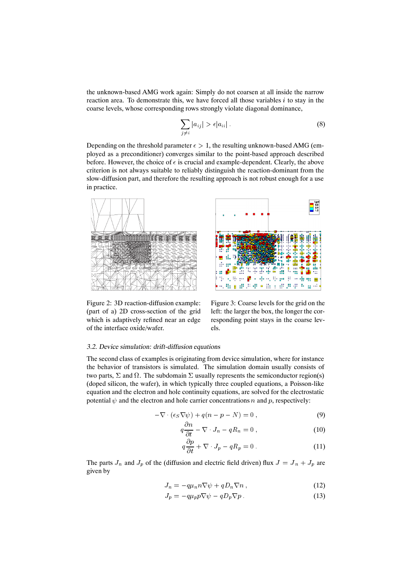the unknown-based AMG work again: Simply do not coarsen at all inside the narrow reaction area. To demonstrate this, we have forced all those variables  $i$  to stay in the coarse levels, whose corresponding rows strongly violate diagonal dominance,

$$
\sum_{j \neq i} |a_{ij}| > \epsilon |a_{ii}|.
$$
 (8)

Depending on the threshold parameter  $\epsilon > 1$ , the resulting unknown-based AMG (employed as a preconditioner) converges similar to the point-based approach described before. However, the choice of  $\epsilon$  is crucial and example-dependent. Clearly, the above criterion is not always suitable to reliably distinguish the reaction-dominant from the slow-diffusion part, and therefore the resulting approach is not robust enough for a use in practice.



Figure 2: 3D reaction-diffusion example: (part of a) 2D cross-section of the grid which is adaptively refined near an edge of the interface oxide/wafer.

Figure 3: Coarse levels for the grid on the left: the larger the box, the longer the corresponding point stays in the coarse levels.

### 3.2. Device simulation: drift-diffusion equations

The second class of examples is originating from device simulation, where for instance the behavior of transistors is simulated. The simulation domain usually consists of two parts,  $\Sigma$  and  $\Omega$ . The subdomain  $\Sigma$  usually represents the semiconductor region(s) (doped silicon, the wafer), in which typically three coupled equations, a Poisson-like equation and the electron and hole continuity equations, are solved for the electrostatic potential  $\psi$  and the electron and hole carrier concentrations  $n$  and  $p$ , respectively:

$$
-\nabla \cdot (\epsilon_S \nabla \psi) + q(n - p - N) = 0,
$$
\n(9)

$$
q\frac{\partial n}{\partial t} - \nabla \cdot J_n - qR_n = 0, \qquad (10)
$$

$$
q\frac{\partial p}{\partial t} + \nabla \cdot J_p - qR_p = 0.
$$
 (11)

The parts  $J_n$  and  $J_p$  of the (diffusion and electric field driven) flux  $J = J_n + J_p$  are given by

$$
J_n = -q\mu_n n \nabla \psi + q D_n \nabla n \,, \tag{12}
$$

$$
J_p = -q\mu_p p \nabla \psi - q D_p \nabla p \,. \tag{13}
$$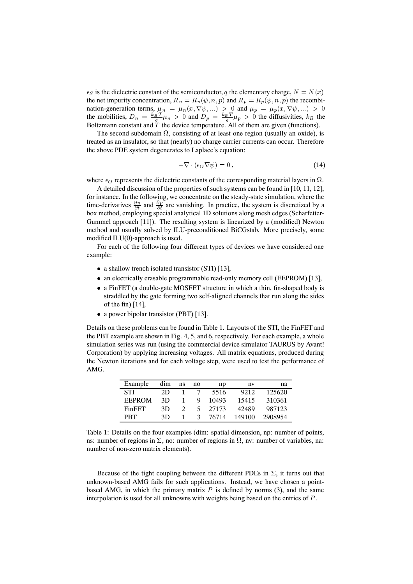$\epsilon_S$  is the dielectric constant of the semiconductor, q the elementary charge,  $N = N(x)$ the net impurity concentration,  $R_n = R_n(\psi, n, p)$  and  $R_p = R_p(\psi, n, p)$  the recombination-generation terms,  $\mu_n = \mu_n(x, \nabla \psi, ...) > 0$  and  $\mu_p = \mu_p(x, \nabla \psi, ...) > 0$ <br>the mobilities,  $D_n = \frac{k_B T}{g} \mu_n > 0$  and  $D_p = \frac{k_B T}{g} \mu_p > 0$  the diffusivities,  $k_B$  the Boltzmann constant and  $\tilde{T}$  the device temperature. All of them are given (functions).

The second subdomain  $\Omega$ , consisting of at least one region (usually an oxide), is treated as an insulator, so that (nearly) no charge carrier currents can occur. Therefore the above PDE system degenerates to Laplace's equation:

$$
-\nabla \cdot (\epsilon_O \nabla \psi) = 0, \qquad (14)
$$

where  $\epsilon_0$  represents the dielectric constants of the corresponding material layers in  $\Omega$ .

A detailed discussion of the properties of such systems can be found in [10, 11, 12], for instance. In the following, we concentrate on the steady-state simulation, where the time-derivatives  $\frac{\partial n}{\partial t}$  and  $\frac{\partial p}{\partial t}$  are vanishing. In practice, the system is discretized by a box method, employing special analytical 1D solutions along mesh edges (Scharfetter-Gummel approach [11]). The resulting system is linearized by a (modified) Newton method and usually solved by ILU-preconditioned BiCGstab. More precisely, some modified ILU(0)-approach is used.

For each of the following four different types of devices we have considered one example:

- a shallow trench isolated transistor (STI) [13],
- an electrically erasable programmable read-only memory cell (EEPROM) [13],
- a FinFET (a double-gate MOSFET structure in which a thin, fin-shaped body is straddled by the gate forming two self-aligned channels that run along the sides of the fin) [14],
- a power bipolar transistor (PBT) [13].

Details on these problems can be found in Table 1. Layouts of the STI, the FinFET and the PBT example are shown in Fig. 4, 5, and 6, respectively. For each example, a whole simulation series was run (using the commercial device simulator TAURUS by Avant! Corporation) by applying increasing voltages. All matrix equations, produced during the Newton iterations and for each voltage step, were used to test the performance of AMG.

| Example       | dim | ns            | no    | np    | nv     | na      |
|---------------|-----|---------------|-------|-------|--------|---------|
| <b>STI</b>    | 2D  |               |       | 5516  | 9212   | 125620  |
| <b>FFPROM</b> | 3D  |               | Q     | 10493 | 15415  | 310361  |
| <b>FinFFT</b> | 3D  | $\mathcal{D}$ | $5 -$ | 27173 | 42489  | 987123  |
| <b>PRT</b>    | 3D  |               | 3     | 76714 | 149100 | 2908954 |

Table 1: Details on the four examples (dim: spatial dimension, np: number of points, ns: number of regions in  $\Sigma$ , no: number of regions in  $\Omega$ , nv: number of variables, na: number of non-zero matrix elements).

Because of the tight coupling between the different PDEs in  $\Sigma$ , it turns out that unknown-based AMG fails for such applications. Instead, we have chosen a pointbased AMG, in which the primary matrix  $P$  is defined by norms (3), and the same interpolation is used for all unknowns with weights being based on the entries of  $P$ .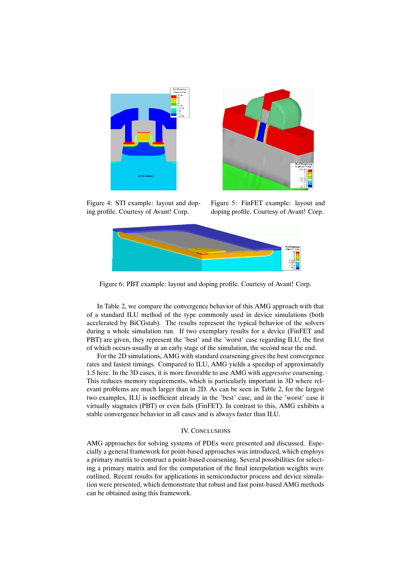



Figure 4: STI example: layout and doping profile. Courtesy of Avant! Corp.

Figure 5: FinFET example: layout and doping profile. Courtesy of Avant! Corp.



Figure 6: PBT example: layout and doping profile. Courtesy of Avant! Corp.

In Table 2, we compare the convergence behavior of this AMG approach with that of a standard ILU method of the type commonly used in device simulations (both accelerated by BiCGstab). The results represent the typical behavior of the solvers during a whole simulation run. If two exemplary results for a device (FinFET and PBT) are given, they represent the 'best' and the 'worst' case regarding ILU, the first of which occurs usually at an early stage of the simulation, the second near the end.

For the 2D simulations, AMG with standard coarsening gives the best convergence rates and fastest timings. Compared to ILU, AMG yields a speedup of approximately 1.5 here. In the 3D cases, it is more favorable to use AMG with *aggressive* coarsening. This reduces memory requirements, which is particularly important in 3D where relevant problems are much larger than in 2D. As can be seen in Table 2, for the largest two examples, ILU is inefficient already in the 'best' case, and in the 'worst' case it virtually stagnates (PBT) or even fails (FinFET). In contrast to this, AMG exhibits a stable convergence behavior in all cases and is always faster than ILU.

### IV. CONCLUSIONS

AMG approaches for solving systems of PDEs were presented and discussed. Especially a general framework for point-based approaches was introduced, which employs a primary matrix to construct a point-based coarsening. Several possibilities for selecting a primary matrix and for the computation of the final interpolation weights were outlined. Recent results for applications in semiconductor process and device simulation were presented, which demonstrate that robust and fast point-based AMG methods can be obtained using this framework.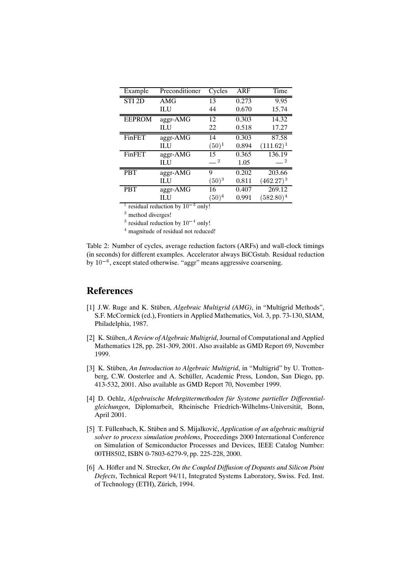| Example           | Preconditioner | Cycles   | ARF   | Time         |
|-------------------|----------------|----------|-------|--------------|
| STI <sub>2D</sub> | AMG            | 13       | 0.273 | 9.95         |
|                   | НU             | 44       | 0.670 | 15.74        |
| <b>EEPROM</b>     | aggr-AMG       | 12       | 0.303 | 14.32        |
|                   | НU             | 22       | 0.518 | 17.27        |
| FinFET            | aggr-AMG       | 14       | 0.303 | 87.58        |
|                   | <b>ILU</b>     | $(50)^1$ | 0.894 | $(111.62)^1$ |
| FinFET            | aggr-AMG       | 15       | 0.365 | 136.19       |
|                   | НU             | 2        | 1.05  | 2            |
| <b>PBT</b>        | aggr-AMG       | 9        | 0.202 | 203.66       |
|                   | <b>ILU</b>     | $(50)^3$ | 0.811 | $(462.27)^3$ |
| <b>PBT</b>        | aggr-AMG       | 16       | 0.407 | 269.12       |
|                   | ILU<br>ᢌ       | $(50)^4$ | 0.991 | $(582.80)^4$ |

 $\frac{1}{2}$  residual reduction by  $10^{-3}$  only!

<sup>2</sup> method diverges!

<sup>3</sup> residual reduction by  $10^{-4}$  only!

<sup>4</sup> magnitude of residual not reduced!

Table 2: Number of cycles, average reduction factors (ARFs) and wall-clock timings (in seconds) for different examples. Accelerator always BiCGstab. Residual reduction by  $10^{-6}$ , except stated otherwise. "aggr" means aggressive coarsening.

## **References**

- [1] J.W. Ruge and K. Stüben, *Algebraic Multigrid (AMG)*, in "Multigrid Methods", S.F. McCormick (ed.), Frontiers in Applied Mathematics, Vol. 3, pp. 73-130, SIAM, Philadelphia, 1987.
- [2] K. Stüben, *A Review of Algebraic Multigrid*, Journal of Computational and Applied Mathematics 128, pp. 281-309, 2001. Also available as GMD Report 69, November 1999.
- [3] K. Stüben, *An Introduction to Algebraic Multigrid*, in "Multigrid" by U. Trottenberg, C.W. Oosterlee and A. Schüller, Academic Press, London, San Diego, pp. 413-532, 2001. Also available as GMD Report 70, November 1999.
- [4] D. Oehlz, *Algebraische Mehrgittermethoden fur Systeme partieller Differential- ¨* gleichungen, Diplomarbeit, Rheinische Friedrich-Wilhelms-Universität, Bonn, April 2001.
- [5] T. Füllenbach, K. Stüben and S. Mijalković, *Application of an algebraic multigrid solver to process simulation problems*, Proceedings 2000 International Conference on Simulation of Semiconductor Processes and Devices, IEEE Catalog Number: 00TH8502, ISBN 0-7803-6279-9, pp. 225-228, 2000.
- [6] A. Höfler and N. Strecker, *On the Coupled Diffusion of Dopants and Silicon Point Defects*, Technical Report 94/11, Integrated Systems Laboratory, Swiss. Fed. Inst. of Technology (ETH), Zürich, 1994.